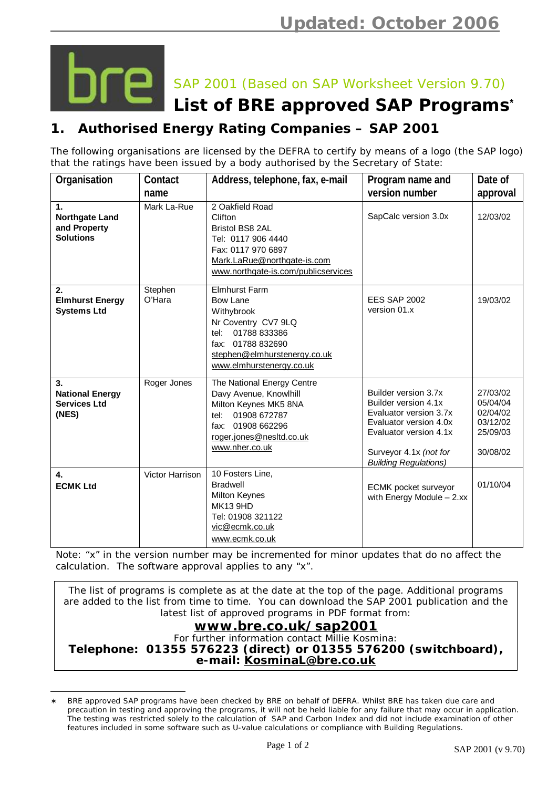

 $\overline{\phantom{a}}$ 

SAP 2001 (Based on SAP Worksheet Version 9.70)

## **List of BRE approved SAP Programs\***

## **1. Authorised Energy Rating Companies – SAP 2001**

The following organisations are licensed by the DEFRA to certify by means of a logo (the SAP logo) that the ratings have been issued by a body authorised by the Secretary of State:

| Organisation                                                                | Contact<br>name   | Address, telephone, fax, e-mail                                                                                                                                                          | Program name and<br>version number                                                                                                                                                   | Date of<br>approval                                                  |
|-----------------------------------------------------------------------------|-------------------|------------------------------------------------------------------------------------------------------------------------------------------------------------------------------------------|--------------------------------------------------------------------------------------------------------------------------------------------------------------------------------------|----------------------------------------------------------------------|
| $\mathbf{1}$ .<br><b>Northgate Land</b><br>and Property<br><b>Solutions</b> | Mark La-Rue       | 2 Oakfield Road<br>Clifton<br><b>Bristol BS8 2AL</b><br>Tel: 0117 906 4440<br>Fax: 0117 970 6897<br>Mark.LaRue@northgate-is.com<br>www.northgate-is.com/publicservices                   | SapCalc version 3.0x                                                                                                                                                                 | 12/03/02                                                             |
| 2.<br><b>Elmhurst Energy</b><br><b>Systems Ltd</b>                          | Stephen<br>O'Hara | <b>Elmhurst Farm</b><br><b>Bow Lane</b><br>Withybrook<br>Nr Coventry CV7 9LQ<br>01788 833386<br>tel:<br>01788 832690<br>fax:<br>stephen@elmhurstenergy.co.uk<br>www.elmhurstenergy.co.uk | <b>EES SAP 2002</b><br>version 01.x                                                                                                                                                  | 19/03/02                                                             |
| 3.<br><b>National Energy</b><br><b>Services Ltd</b><br>(NES)                | Roger Jones       | The National Energy Centre<br>Davy Avenue, Knowlhill<br>Milton Keynes MK5 8NA<br>01908 672787<br>tel:<br>fax: 01908 662296<br>roger.jones@nesltd.co.uk<br>www.nher.co.uk                 | Builder version 3.7x<br>Builder version 4.1x<br>Evaluator version 3.7x<br>Evaluator version 4.0x<br>Evaluator version 4.1x<br>Surveyor 4.1x (not for<br><b>Building Regulations)</b> | 27/03/02<br>05/04/04<br>02/04/02<br>03/12/02<br>25/09/03<br>30/08/02 |
| $\mathbf{4}$<br><b>ECMK Ltd</b>                                             | Victor Harrison   | 10 Fosters Line,<br><b>Bradwell</b><br><b>Milton Keynes</b><br><b>MK13 9HD</b><br>Tel: 01908 321122<br>vic@ecmk.co.uk<br>www.ecmk.co.uk                                                  | ECMK pocket surveyor<br>with Energy Module - 2.xx                                                                                                                                    | 01/10/04                                                             |

*Note: "x" in the version number may be incremented for minor updates that do no affect the calculation. The software approval applies to any "x".* 

The list of programs is complete as at the date at the top of the page. Additional programs are added to the list from time to time. You can download the SAP 2001 publication and the latest list of approved programs in PDF format from: **[www.bre.co.uk/sap2001](http://www.bre.co.uk/sap2001)** For further information contact Millie Kosmina: **Telephone: 01355 576223 (direct) or 01355 576200 (switchboard), e-mail: [KosminaL@bre.co.uk](mailto:KosminaL@bre.co.uk)**

BRE approved SAP programs have been checked by BRE on behalf of DEFRA. Whilst BRE has taken due care and precaution in testing and approving the programs, it will not be held liable for any failure that may occur in application. The testing was restricted solely to the calculation of SAP and Carbon Index and did not include examination of other features included in some software such as U-value calculations or compliance with Building Regulations.